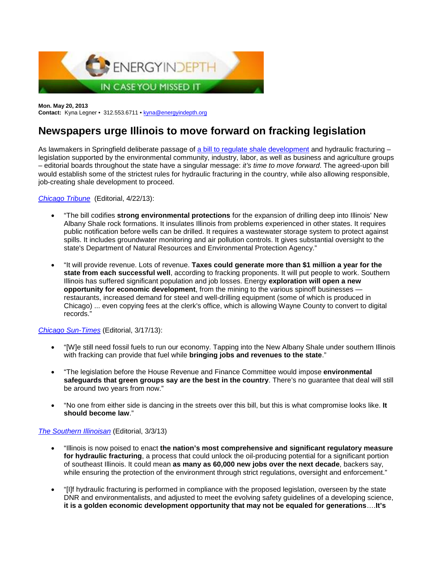

**Mon. May 20, 2013 Contact:** Kyna Legner • 312.553.6711 • [kyna@energyindepth.org](mailto:kyna@energyindepth.org)

# **Newspapers urge Illinois to move forward on fracking legislation**

As lawmakers in Springfield deliberate passage of [a bill to regulate shale development](http://www.energyindepth.org/illinois-lawmakers-lets-move-forward-with-hf/) and hydraulic fracturing – legislation supported by the environmental community, industry, labor, as well as business and agriculture groups – editorial boards throughout the state have a singular message: *it's time to move forward*. The agreed-upon bill would establish some of the strictest rules for hydraulic fracturing in the country, while also allowing responsible, job-creating shale development to proceed.

*[Chicago Tribune](http://www.chicagotribune.com/news/opinion/editorials/ct-edit-fracking-20130422,0,1781096.story)* (Editorial, 4/22/13):

- "The bill codifies **strong environmental protections** for the expansion of drilling deep into Illinois' New Albany Shale rock formations. It insulates Illinois from problems experienced in other states. It requires public notification before wells can be drilled. It requires a wastewater storage system to protect against spills. It includes groundwater monitoring and air pollution controls. It gives substantial oversight to the state's Department of Natural Resources and Environmental Protection Agency."
- "It will provide revenue. Lots of revenue. **Taxes could generate more than \$1 million a year for the state from each successful well**, according to fracking proponents. It will put people to work. Southern Illinois has suffered significant population and job losses. Energy **exploration will open a new opportunity for economic development**, from the mining to the various spinoff businesses restaurants, increased demand for steel and well-drilling equipment (some of which is produced in Chicago) ... even copying fees at the clerk's office, which is allowing Wayne County to convert to digital records."

*[Chicago Sun-Times](http://www.suntimes.com/opinions/18873277-474/editorial-fracking-compromise-should-become-law.html)* (Editorial, 3/17/13):

- "[W]e still need fossil fuels to run our economy. Tapping into the New Albany Shale under southern Illinois with fracking can provide that fuel while **bringing jobs and revenues to the state**."
- "The legislation before the House Revenue and Finance Committee would impose **environmental safeguards that green groups say are the best in the country**. There's no guarantee that deal will still be around two years from now."
- "No one from either side is dancing in the streets over this bill, but this is what compromise looks like. **It should become law**."

## *[The Southern Illinoisan](http://thesouthern.com/news/opinion/editorial/safeguards-vital-to-fracking-regulation/article_f59cca90-83c8-11e2-8f4b-001a4bcf887a.html)* (Editorial, 3/3/13)

- "Illinois is now poised to enact **the nation's most comprehensive and significant regulatory measure for hydraulic fracturing**, a process that could unlock the oil-producing potential for a significant portion of southeast Illinois. It could mean **as many as 60,000 new jobs over the next decade**, backers say, while ensuring the protection of the environment through strict regulations, oversight and enforcement."
- "[I]f hydraulic fracturing is performed in compliance with the proposed legislation, overseen by the state DNR and environmentalists, and adjusted to meet the evolving safety guidelines of a developing science, **it is a golden economic development opportunity that may not be equaled for generations**….**It's**